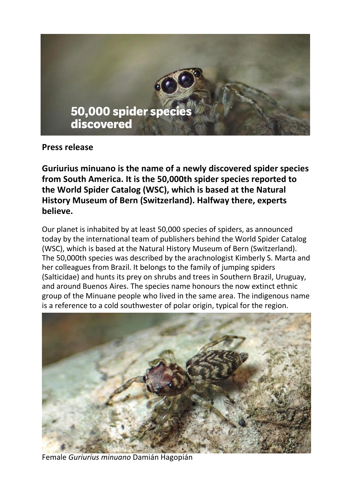

**Press release**

**Guriurius minuano is the name of a newly discovered spider species from South America. It is the 50,000th spider species reported to the World Spider Catalog (WSC), which is based at the Natural History Museum of Bern (Switzerland). Halfway there, experts believe.**

Our planet is inhabited by at least 50,000 species of spiders, as announced today by the international team of publishers behind the World Spider Catalog (WSC), which is based at the Natural History Museum of Bern (Switzerland). The 50,000th species was described by the arachnologist Kimberly S. Marta and her colleagues from Brazil. It belongs to the family of jumping spiders (Salticidae) and hunts its prey on shrubs and trees in Southern Brazil, Uruguay, and around Buenos Aires. The species name honours the now extinct ethnic group of the Minuane people who lived in the same area. The indigenous name is a reference to a cold southwester of polar origin, typical for the region.



Female *Guriurius minuano* Damián Hagopián